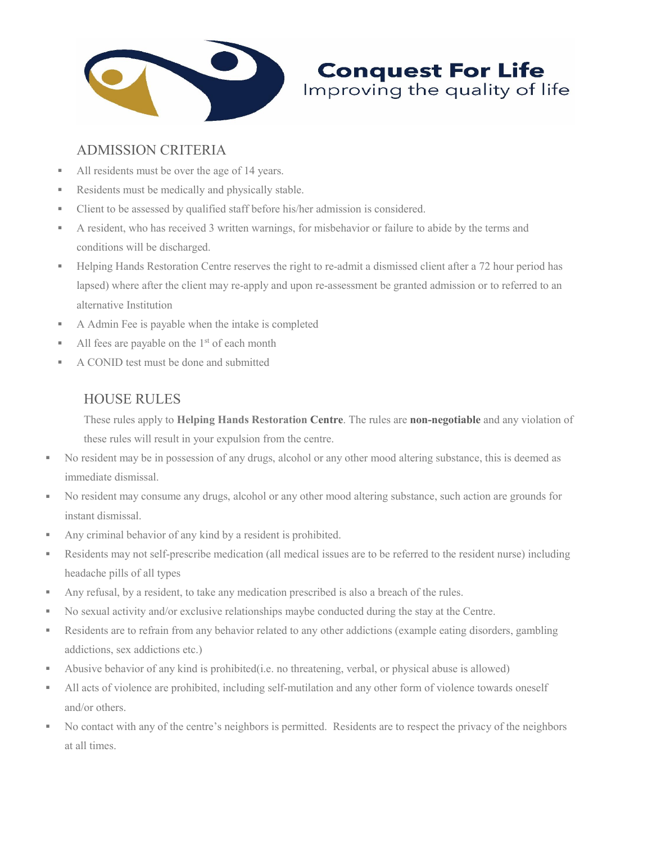

# ADMISSION CRITERIA

- All residents must be over the age of 14 years.
- Residents must be medically and physically stable.
- **Client to be assessed by qualified staff before his/her admission is considered.**
- A resident, who has received 3 written warnings, for misbehavior or failure to abide by the terms and conditions will be discharged.
- Helping Hands Restoration Centre reserves the right to re-admit a dismissed client after a 72 hour period has lapsed) where after the client may re-apply and upon re-assessment be granted admission or to referred to an alternative Institution

**Conquest For Life**<br>Improving the quality of life

- A Admin Fee is payable when the intake is completed
- All fees are payable on the  $1<sup>st</sup>$  of each month
- A CONID test must be done and submitted

## HOUSE RULES

These rules apply to Helping Hands Restoration Centre. The rules are non-negotiable and any violation of these rules will result in your expulsion from the centre.

- No resident may be in possession of any drugs, alcohol or any other mood altering substance, this is deemed as immediate dismissal.
- No resident may consume any drugs, alcohol or any other mood altering substance, such action are grounds for instant dismissal.
- Any criminal behavior of any kind by a resident is prohibited.
- Residents may not self-prescribe medication (all medical issues are to be referred to the resident nurse) including headache pills of all types
- Any refusal, by a resident, to take any medication prescribed is also a breach of the rules.
- No sexual activity and/or exclusive relationships maybe conducted during the stay at the Centre.
- Residents are to refrain from any behavior related to any other addictions (example eating disorders, gambling addictions, sex addictions etc.)
- Abusive behavior of any kind is prohibited(i.e. no threatening, verbal, or physical abuse is allowed)
- If All acts of violence are prohibited, including self-mutilation and any other form of violence towards oneself and/or others.
- No contact with any of the centre's neighbors is permitted. Residents are to respect the privacy of the neighbors at all times.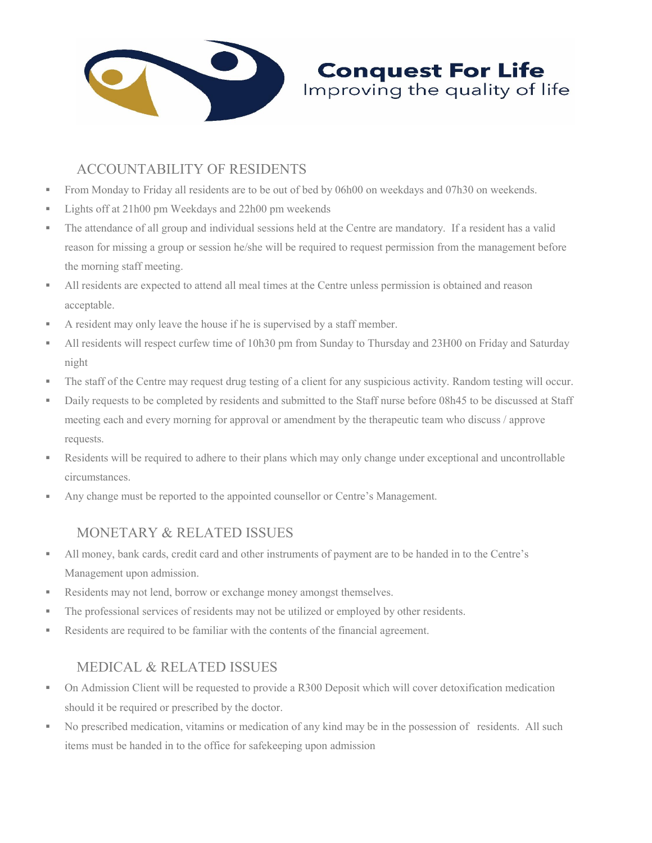

# ACCOUNTABILITY OF RESIDENTS

- From Monday to Friday all residents are to be out of bed by 06h00 on weekdays and 07h30 on weekends.
- Lights off at 21h00 pm Weekdays and 22h00 pm weekends
- The attendance of all group and individual sessions held at the Centre are mandatory. If a resident has a valid reason for missing a group or session he/she will be required to request permission from the management before the morning staff meeting.

**Conquest For Life**<br>Improving the quality of life

- If All residents are expected to attend all meal times at the Centre unless permission is obtained and reason acceptable.
- A resident may only leave the house if he is supervised by a staff member.
- All residents will respect curfew time of 10h30 pm from Sunday to Thursday and 23H00 on Friday and Saturday night
- The staff of the Centre may request drug testing of a client for any suspicious activity. Random testing will occur.
- Daily requests to be completed by residents and submitted to the Staff nurse before 08h45 to be discussed at Staff meeting each and every morning for approval or amendment by the therapeutic team who discuss / approve requests.
- Residents will be required to adhere to their plans which may only change under exceptional and uncontrollable circumstances.
- Any change must be reported to the appointed counsellor or Centre's Management.

## MONETARY & RELATED ISSUES

- All money, bank cards, credit card and other instruments of payment are to be handed in to the Centre's Management upon admission.
- Residents may not lend, borrow or exchange money amongst themselves.
- The professional services of residents may not be utilized or employed by other residents.
- Residents are required to be familiar with the contents of the financial agreement.

## MEDICAL & RELATED ISSUES

- On Admission Client will be requested to provide a R300 Deposit which will cover detoxification medication should it be required or prescribed by the doctor.
- No prescribed medication, vitamins or medication of any kind may be in the possession of residents. All such items must be handed in to the office for safekeeping upon admission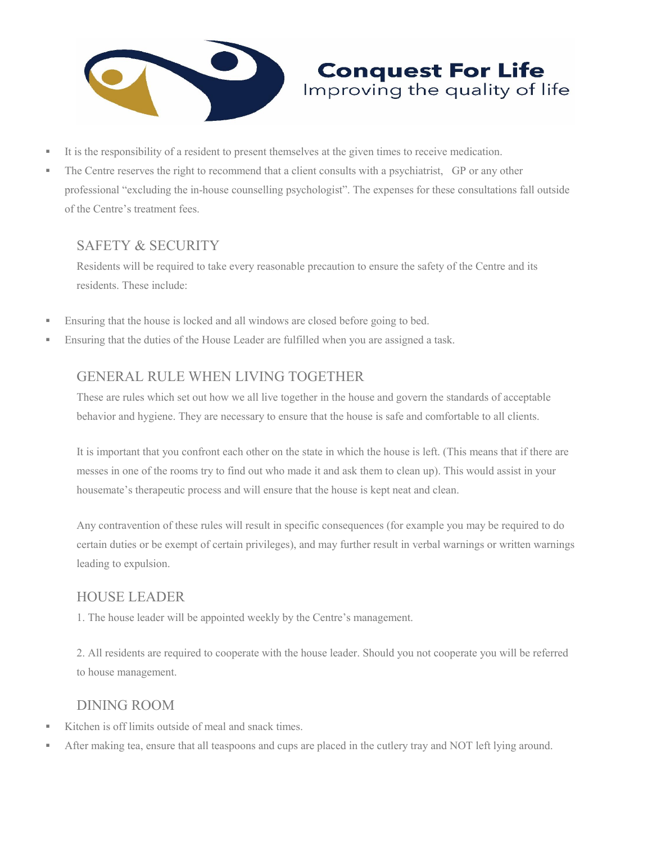

- It is the responsibility of a resident to present themselves at the given times to receive medication.
- The Centre reserves the right to recommend that a client consults with a psychiatrist, GP or any other professional "excluding the in-house counselling psychologist". The expenses for these consultations fall outside of the Centre's treatment fees.

**Conquest For Life** Improving the quality of life

## SAFETY & SECURITY

Residents will be required to take every reasonable precaution to ensure the safety of the Centre and its residents. These include:

- **Ensuring that the house is locked and all windows are closed before going to bed.**
- Ensuring that the duties of the House Leader are fulfilled when you are assigned a task.

## GENERAL RULE WHEN LIVING TOGETHER

These are rules which set out how we all live together in the house and govern the standards of acceptable behavior and hygiene. They are necessary to ensure that the house is safe and comfortable to all clients.

It is important that you confront each other on the state in which the house is left. (This means that if there are messes in one of the rooms try to find out who made it and ask them to clean up). This would assist in your housemate's therapeutic process and will ensure that the house is kept neat and clean.

Any contravention of these rules will result in specific consequences (for example you may be required to do certain duties or be exempt of certain privileges), and may further result in verbal warnings or written warnings leading to expulsion.

#### HOUSE LEADER

1. The house leader will be appointed weekly by the Centre's management.

2. All residents are required to cooperate with the house leader. Should you not cooperate you will be referred to house management.

#### DINING ROOM

- Kitchen is off limits outside of meal and snack times.
- After making tea, ensure that all teaspoons and cups are placed in the cutlery tray and NOT left lying around.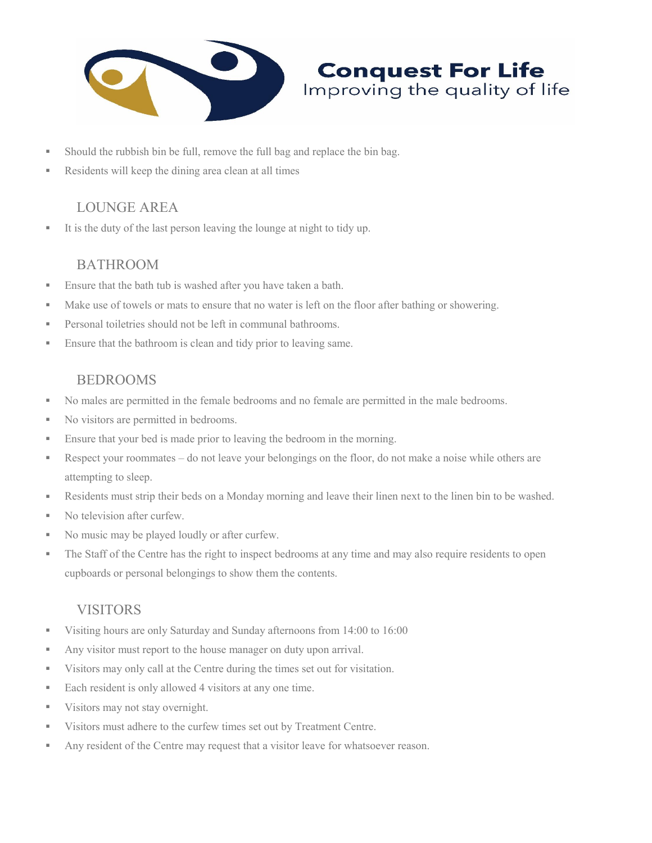

- Should the rubbish bin be full, remove the full bag and replace the bin bag.
- Residents will keep the dining area clean at all times

## LOUNGE AREA

It is the duty of the last person leaving the lounge at night to tidy up.

## BATHROOM

- **Ensure that the bath tub is washed after you have taken a bath.**
- Make use of towels or mats to ensure that no water is left on the floor after bathing or showering.

**Conquest For Life** Improving the quality of life

- **Personal toiletries should not be left in communal bathrooms.**
- **Ensure that the bathroom is clean and tidy prior to leaving same.**

## BEDROOMS

- No males are permitted in the female bedrooms and no female are permitted in the male bedrooms.
- No visitors are permitted in bedrooms.
- **Ensure that your bed is made prior to leaving the bedroom in the morning.**
- Respect your roommates do not leave your belongings on the floor, do not make a noise while others are attempting to sleep.
- Residents must strip their beds on a Monday morning and leave their linen next to the linen bin to be washed.
- No television after curfew.
- No music may be played loudly or after curfew.
- The Staff of the Centre has the right to inspect bedrooms at any time and may also require residents to open cupboards or personal belongings to show them the contents.

#### VISITORS

- Visiting hours are only Saturday and Sunday afternoons from 14:00 to 16:00
- Any visitor must report to the house manager on duty upon arrival.
- Visitors may only call at the Centre during the times set out for visitation.
- Each resident is only allowed 4 visitors at any one time.
- **Visitors may not stay overnight.**
- Visitors must adhere to the curfew times set out by Treatment Centre.
- Any resident of the Centre may request that a visitor leave for whatsoever reason.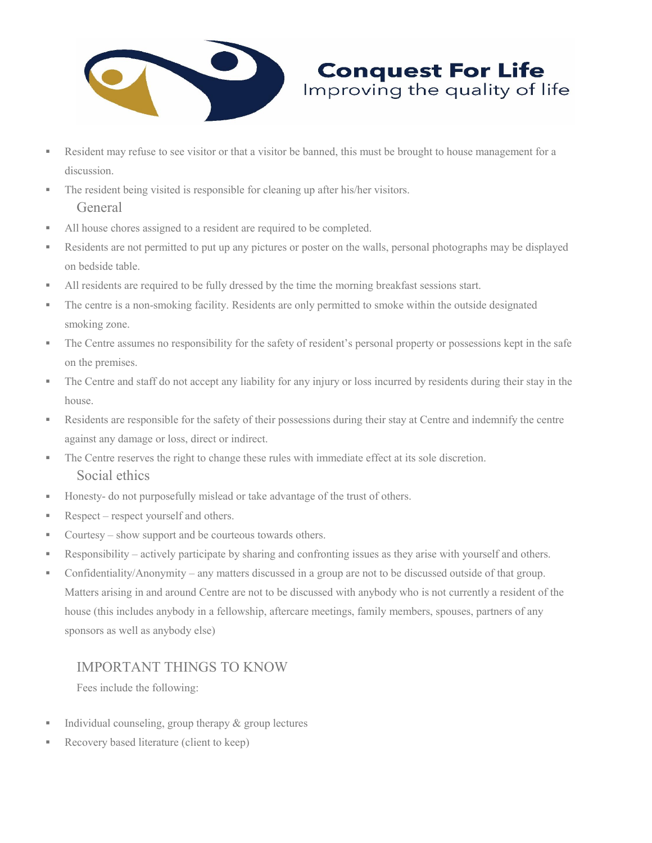

Resident may refuse to see visitor or that a visitor be banned, this must be brought to house management for a discussion.

**Conquest For Life**<br>Improving the quality of life

- The resident being visited is responsible for cleaning up after his/her visitors. General
- All house chores assigned to a resident are required to be completed.
- Residents are not permitted to put up any pictures or poster on the walls, personal photographs may be displayed on bedside table.
- If All residents are required to be fully dressed by the time the morning breakfast sessions start.
- The centre is a non-smoking facility. Residents are only permitted to smoke within the outside designated smoking zone.
- The Centre assumes no responsibility for the safety of resident's personal property or possessions kept in the safe on the premises.
- The Centre and staff do not accept any liability for any injury or loss incurred by residents during their stay in the house.
- Residents are responsible for the safety of their possessions during their stay at Centre and indemnify the centre against any damage or loss, direct or indirect.
- The Centre reserves the right to change these rules with immediate effect at its sole discretion. Social ethics
- Honesty- do not purposefully mislead or take advantage of the trust of others.
- Respect respect yourself and others.
- Courtesy show support and be courteous towards others.
- Responsibility actively participate by sharing and confronting issues as they arise with yourself and others.
- Confidentiality/Anonymity any matters discussed in a group are not to be discussed outside of that group. Matters arising in and around Centre are not to be discussed with anybody who is not currently a resident of the house (this includes anybody in a fellowship, aftercare meetings, family members, spouses, partners of any sponsors as well as anybody else)

#### IMPORTANT THINGS TO KNOW

Fees include the following:

- Individual counseling, group therapy  $&$  group lectures
- Recovery based literature (client to keep)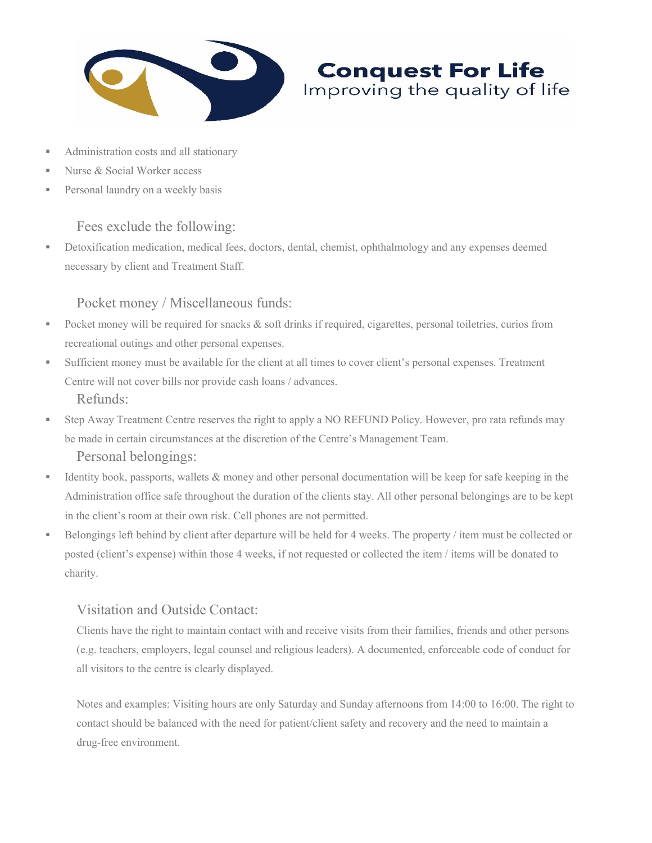

#### Administration costs and all stationary

- Nurse & Social Worker access
- **Personal laundry on a weekly basis**

#### Fees exclude the following:

 Detoxification medication, medical fees, doctors, dental, chemist, ophthalmology and any expenses deemed necessary by client and Treatment Staff.

**Conquest For Life** Improving the quality of life

#### Pocket money / Miscellaneous funds:

- Pocket money will be required for snacks  $\&$  soft drinks if required, cigarettes, personal toiletries, curios from recreational outings and other personal expenses.
- Sufficient money must be available for the client at all times to cover client's personal expenses. Treatment Centre will not cover bills nor provide cash loans / advances. Refunds:
- Step Away Treatment Centre reserves the right to apply a NO REFUND Policy. However, pro rata refunds may be made in certain circumstances at the discretion of the Centre's Management Team. Personal belongings:
- Identity book, passports, wallets  $&$  money and other personal documentation will be keep for safe keeping in the Administration office safe throughout the duration of the clients stay. All other personal belongings are to be kept in the client's room at their own risk. Cell phones are not permitted.
- Belongings left behind by client after departure will be held for 4 weeks. The property / item must be collected or posted (client's expense) within those 4 weeks, if not requested or collected the item / items will be donated to charity.

#### Visitation and Outside Contact:

Clients have the right to maintain contact with and receive visits from their families, friends and other persons (e.g. teachers, employers, legal counsel and religious leaders). A documented, enforceable code of conduct for all visitors to the centre is clearly displayed.

Notes and examples: Visiting hours are only Saturday and Sunday afternoons from 14:00 to 16:00. The right to contact should be balanced with the need for patient/client safety and recovery and the need to maintain a drug-free environment.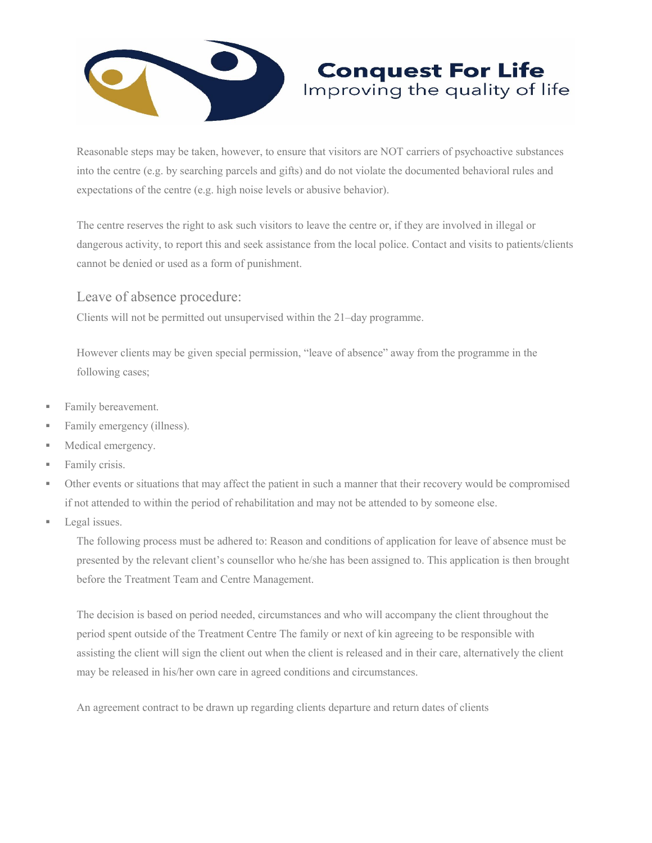

Reasonable steps may be taken, however, to ensure that visitors are NOT carriers of psychoactive substances into the centre (e.g. by searching parcels and gifts) and do not violate the documented behavioral rules and expectations of the centre (e.g. high noise levels or abusive behavior).

**Conquest For Life** Improving the quality of life

The centre reserves the right to ask such visitors to leave the centre or, if they are involved in illegal or dangerous activity, to report this and seek assistance from the local police. Contact and visits to patients/clients cannot be denied or used as a form of punishment.

Leave of absence procedure:

Clients will not be permitted out unsupervised within the 21–day programme.

However clients may be given special permission, "leave of absence" away from the programme in the following cases;

- **Family bereavement.**
- Family emergency (illness).
- **Medical emergency.**
- **Family crisis.**
- Other events or situations that may affect the patient in such a manner that their recovery would be compromised if not attended to within the period of rehabilitation and may not be attended to by someone else.
- **Legal** issues.

The following process must be adhered to: Reason and conditions of application for leave of absence must be presented by the relevant client's counsellor who he/she has been assigned to. This application is then brought before the Treatment Team and Centre Management.

The decision is based on period needed, circumstances and who will accompany the client throughout the period spent outside of the Treatment Centre The family or next of kin agreeing to be responsible with assisting the client will sign the client out when the client is released and in their care, alternatively the client may be released in his/her own care in agreed conditions and circumstances.

An agreement contract to be drawn up regarding clients departure and return dates of clients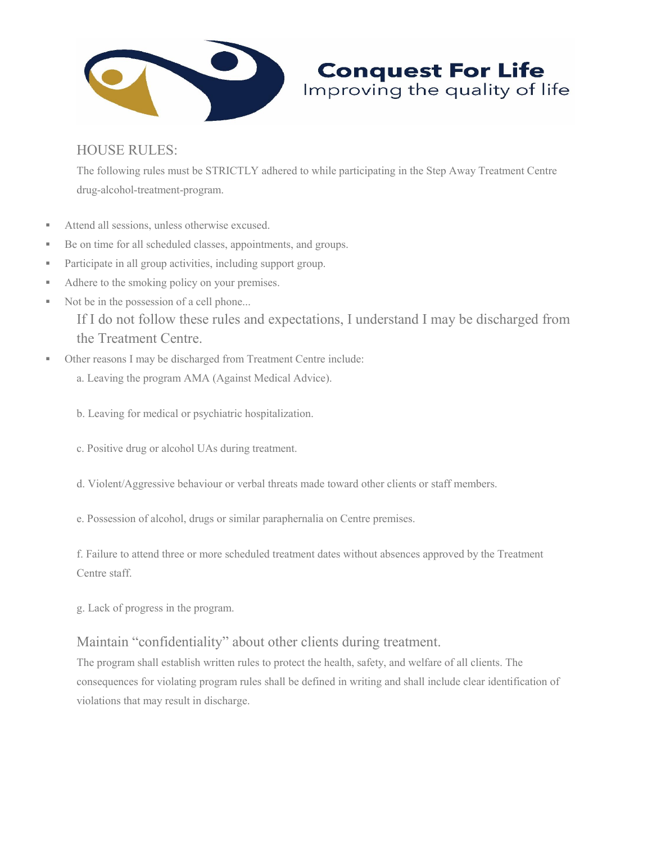

## HOUSE RULES:

The following rules must be STRICTLY adhered to while participating in the Step Away Treatment Centre drug-alcohol-treatment-program.

**Conquest For Life**<br>Improving the quality of life

- Attend all sessions, unless otherwise excused.
- Be on time for all scheduled classes, appointments, and groups.
- **Participate in all group activities, including support group.**
- Adhere to the smoking policy on your premises.
- Not be in the possession of a cell phone... If I do not follow these rules and expectations, I understand I may be discharged from the Treatment Centre.
- Other reasons I may be discharged from Treatment Centre include:
	- a. Leaving the program AMA (Against Medical Advice).
	- b. Leaving for medical or psychiatric hospitalization.
	- c. Positive drug or alcohol UAs during treatment.
	- d. Violent/Aggressive behaviour or verbal threats made toward other clients or staff members.
	- e. Possession of alcohol, drugs or similar paraphernalia on Centre premises.

f. Failure to attend three or more scheduled treatment dates without absences approved by the Treatment Centre staff.

g. Lack of progress in the program.

## Maintain "confidentiality" about other clients during treatment.

The program shall establish written rules to protect the health, safety, and welfare of all clients. The consequences for violating program rules shall be defined in writing and shall include clear identification of violations that may result in discharge.